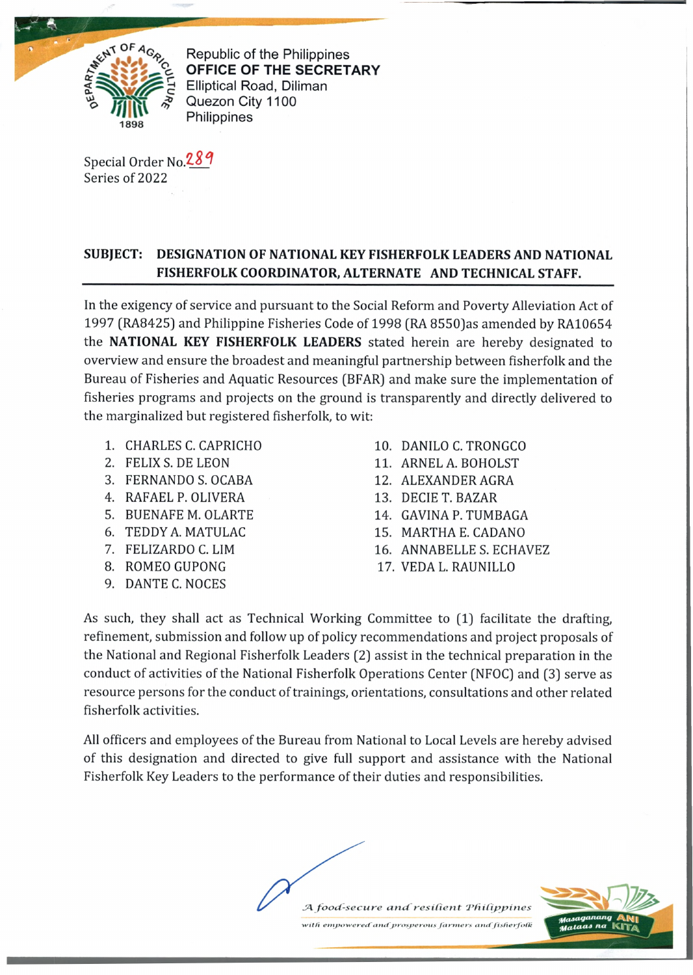

Republic of the Philippines **OFFICE OF THE SECRETARY** Elliptical Road, Diliman Quezon City 1100 **Philippines** 

Special Order No. 289 Series of 2022

## **SUBJECT: DESIGNATION OF NATIONAL KEY FISHERFOLK LEADERS AND NATIONAL FISHERFOLK COORDINATOR, ALTERNATE AND TECHNICAL STAFF.**

In the exigency of service and pursuant to the Social Reform and Poverty Alleviation Act of 1997 (RA8425) and Philippine Fisheries Code of 1998 (RA 8550]as amended by RA10654 the **NATIONAL KEY FISHERFOLK LEADERS** stated herein are hereby designated to overview and ensure the broadest and meaningful partnership between fisherfolk and the Bureau of Fisheries and Aquatic Resources (BFAR] and make sure the implementation of fisheries programs and projects on the ground is transparently and directly delivered to the marginalized but registered fisherfolk, to wit:

- 1. CHARLES C. CAPRICHO 10. DANILO C. TRONGCO
- 
- 3. FERNANDO S. OCABA 12. ALEXANDER AGRA
- 4. RAFAEL P. OLIVERA 13. DECIE T. BAZAR
- 
- 
- 
- 
- 9. DANTE C. NOCES
- 
- 2. FELIX S. DE LEON 11. ARNEL A. BOHOLST
	-
	-
- 5. BUENAFE M. OLARTE 14. GAVINA P. TUMBAGA
- 6. TEDDY A. MATULAC 15. MARTHA E. CADANO
- 7. FELIZARDO C. LIM 16. ANNABELLE S. ECHAVEZ
- 8. ROMEO GUPONG 17. VEDA L. RAUNILLO

As such, they shall act as Technical Working Committee to (1) facilitate the drafting, refinement, submission and follow up of policy recommendations and project proposals of the National and Regional Fisherfolk Leaders (2) assist in the technical preparation in the conduct of activities of the National Fisherfolk Operations Center (NFOC) and (3) serve as resource persons for the conduct of trainings, orientations, consultations and other related fisherfolk activities.

All officers and employees of the Bureau from National to Local Levels are hereby advised of this designation and directed to give full support and assistance with the National Fisherfolk Key Leaders to the performance of their duties and responsibilities.

A food-secure and resilient Philippines